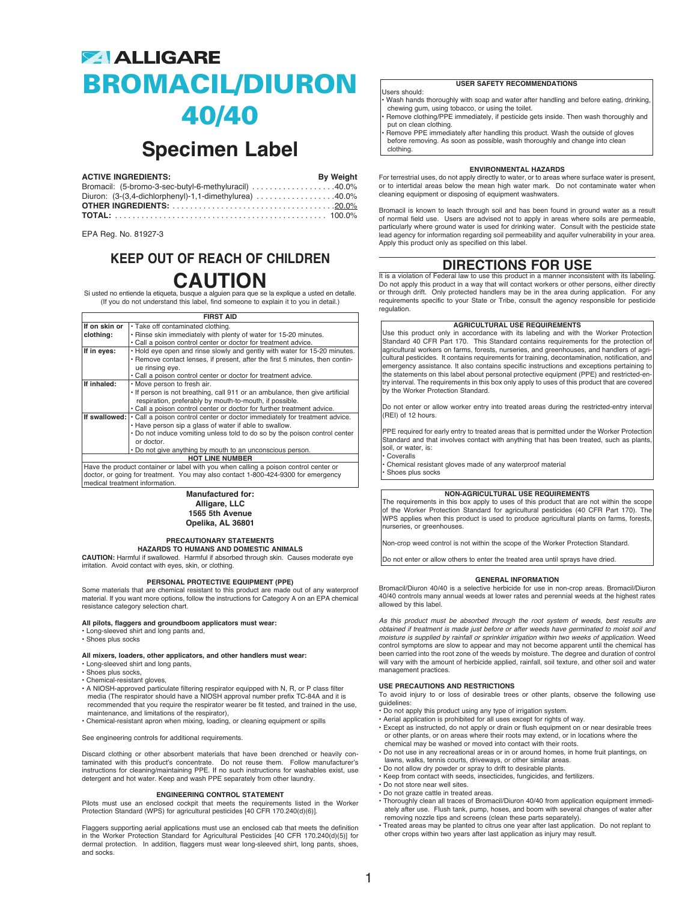## **ZA ALLIGARE** BROMACIL/DIURON 40/40

## **Specimen Label**

| <b>ACTIVE INGREDIENTS:</b>                             | <b>By Weight</b> |
|--------------------------------------------------------|------------------|
| Bromacil: (5-bromo-3-sec-butyl-6-methyluracil) 40.0%   |                  |
| Diuron: (3-(3.4-dichlorphenyl)-1.1-dimethylurea) 40.0% |                  |
|                                                        |                  |
|                                                        |                  |

EPA Reg. No. 81927-3

## **KEEP OUT OF REACH OF CHILDREN CAUTION**

Si usted no entiende la etiqueta, busque a alguien para que se la explique a usted en detalle. (If you do not understand this label, find someone to explain it to you in detail.)

### **FIRST AID**

| llf on skin or                                                                       | • Take off contaminated clothing.                                                              |  |
|--------------------------------------------------------------------------------------|------------------------------------------------------------------------------------------------|--|
| clothing:                                                                            | . Rinse skin immediately with plenty of water for 15-20 minutes.                               |  |
|                                                                                      | • Call a poison control center or doctor for treatment advice.                                 |  |
| If in eyes:                                                                          | . Hold eye open and rinse slowly and gently with water for 15-20 minutes.                      |  |
|                                                                                      | • Remove contact lenses, if present, after the first 5 minutes, then contin-                   |  |
|                                                                                      | ue rinsing eve.                                                                                |  |
|                                                                                      | • Call a poison control center or doctor for treatment advice.                                 |  |
| If inhaled:                                                                          | . Move person to fresh air.                                                                    |  |
|                                                                                      | . If person is not breathing, call 911 or an ambulance, then give artificial                   |  |
|                                                                                      | respiration, preferably by mouth-to-mouth, if possible.                                        |  |
|                                                                                      | . Call a poison control center or doctor for further treatment advice.                         |  |
|                                                                                      | If swallowed: $\cdot$ Call a poison control center or doctor immediately for treatment advice. |  |
|                                                                                      | . Have person sip a glass of water if able to swallow.                                         |  |
|                                                                                      | . Do not induce vomiting unless told to do so by the poison control center                     |  |
|                                                                                      | or doctor.                                                                                     |  |
|                                                                                      | • Do not give anything by mouth to an unconscious person.                                      |  |
| <b>HOT LINE NUMBER</b>                                                               |                                                                                                |  |
| Have the product container or label with you when calling a poison control center or |                                                                                                |  |

doctor, or going for treatment. You may also contact 1-800-424-9300 for emergency medical treatment information.

> **Manufactured for: Alligare, LLC 1565 5th Avenue Opelika, AL 36801**

### **PRECAUTIONARY STATEMENTS**

**HAZARDS TO HUMANS AND DOMESTIC ANIMALS CAUTION:** Harmful if swallowed. Harmful if absorbed through skin. Causes moderate eye irritation. Avoid contact with eyes, skin, or clothing.

#### **PERSONAL PROTECTIVE EQUIPMENT (PPE)**

Some materials that are chemical resistant to this product are made out of any waterproof material. If you want more options, follow the instructions for Category A on an EPA chemical resistance category selection chart.

#### **All pilots, flaggers and groundboom applicators must wear:**

- Long-sleeved shirt and long pants and,
- Shoes plus socks
- **All mixers, loaders, other applicators, and other handlers must wear:**
- Long-sleeved shirt and long pants,
- Shoes plus socks,
- Chemical-resistant gloves
- A NIOSH-approved particulate filtering respirator equipped with N, R, or P class filter media (The respirator should have a NIOSH approval number prefix TC-84A and it is recommended that you require the respirator wearer be fit tested, and trained in the use,
- maintenance, and limitations of the respirator), Chemical-resistant apron when mixing, loading, or cleaning equipment or spills

See engineering controls for additional requirements.

Discard clothing or other absorbent materials that have been drenched or heavily contaminated with this product's concentrate. Do not reuse them. Follow manufacturer's instructions for cleaning/maintaining PPE. If no such instructions for washables exist, use detergent and hot water. Keep and wash PPE separately from other laundry.

#### **ENGINEERING CONTROL STATEMENT**

Pilots must use an enclosed cockpit that meets the requirements listed in the Worker Protection Standard (WPS) for agricultural pesticides [40 CFR 170.240(d)(6)].

Flaggers supporting aerial applications must use an enclosed cab that meets the definition in the Worker Protection Standard for Agricultural Pesticides [40 CFR 170.240(d)(5)] for dermal protection. In addition, flaggers must wear long-sleeved shirt, long pants, shoes, and socks.

#### **USER SAFETY RECOMMENDATIONS**

• Wash hands thoroughly with soap and water after handling and before eating, drinking, chewing gum, using tobacco, or using the toilet.

• Remove clothing/PPE immediately, if pesticide gets inside. Then wash thoroughly and put on clean clothing.

• Remove PPE immediately after handling this product. Wash the outside of gloves before removing. As soon as possible, wash thoroughly and change into clean clothing.

#### **ENVIRONMENTAL HAZARDS**

For terrestrial uses, do not apply directly to water, or to areas where surface water is present, or to intertidal areas below the mean high water mark. Do not contaminate water when cleaning equipment or disposing of equipment washwaters.

Bromacil is known to leach through soil and has been found in ground water as a result of normal field use. Users are advised not to apply in areas where soils are permeable, particularly where ground water is used for drinking water. Consult with the pesticide state lead agency for information regarding soil permeability and aquifer vulnerability in your area. Apply this product only as specified on this label.

## **DIRECTIONS FOR USE**<br>deral law to use this product in a manner inconsistent with its labeling.

It is a violation of Federal law to use this product in a manner incons Do not apply this product in a way that will contact workers or other persons, either directly or through drift. Only protected handlers may be in the area during application. For any requirements specific to your State or Tribe, consult the agency responsible for pesticide regulation.

#### **AGRICULTURAL USE REQUIREMENTS**

Use this product only in accordance with its labeling and with the Worker Protection Standard 40 CFR Part 170. This Standard contains requirements for the protection of agricultural workers on farms, forests, nurseries, and greenhouses, and handlers of agricultural pesticides. It contains requirements for training, decontamination, notification, and emergency assistance. It also contains specific instructions and exceptions pertaining to the statements on this label about personal protective equipment (PPE) and restricted-entry interval. The requirements in this box only apply to uses of this product that are covered by the Worker Protection Standard.

Do not enter or allow worker entry into treated areas during the restricted-entry interval (REI) of 12 hours.

PPE required for early entry to treated areas that is permitted under the Worker Protection Standard and that involves contact with anything that has been treated, such as plants, soil, or water, is: • Coveralls

Users should:

• Chemical resistant gloves made of any waterproof material Shoes plus socks

#### **NON-AGRICULTURAL USE REQUIREMENTS**

The requirements in this box apply to uses of this product that are not within the scope of the Worker Protection Standard for agricultural pesticides (40 CFR Part 170). The WPS applies when this product is used to produce agricultural plants on farms, forests nurseries, or greenhouses.

Non-crop weed control is not within the scope of the Worker Protection Standard.

Do not enter or allow others to enter the treated area until sprays have dried.

#### **GENERAL INFORMATION**

Bromacil/Diuron 40/40 is a selective herbicide for use in non-crop areas. Bromacil/Diuron 40/40 controls many annual weeds at lower rates and perennial weeds at the highest rates allowed by this label.

*As this product must be absorbed through the root system of weeds, best results are obtained if treatment is made just before or after weeds have germinated to moist soil and moisture is supplied by rainfall or sprinkler irrigation within two weeks of application*. Weed control symptoms are slow to appear and may not become apparent until the chemical has been carried into the root zone of the weeds by moisture. The degree and duration of control will vary with the amount of herbicide applied, rainfall, soil texture, and other soil and water management practices.

#### **USE PRECAUTIONS AND RESTRICTIONS**

To avoid injury to or loss of desirable trees or other plants, observe the following use guidelines:

- Do not apply this product using any type of irrigation system. • Aerial application is prohibited for all uses except for rights of way.
- Except as instructed, do not apply or drain or flush equipment on or near desirable trees or other plants, or on areas where their roots may extend, or in locations where the chemical may be washed or moved into contact with their roots.
- Do not use in any recreational areas or in or around homes, in home fruit plantings, on lawns, walks, tennis courts, driveways, or other similar areas.
- Do not allow dry powder or spray to drift to desirable plants.
- Keep from contact with seeds, insecticides, fungicides, and fertilizers.
- Do not store near well sites.
- Do not graze cattle in treated areas.
- Thoroughly clean all traces of Bromacil/Diuron 40/40 from application equipment immediately after use. Flush tank, pump, hoses, and boom with several changes of water after removing nozzle tips and screens (clean these parts separately).
- Treated areas may be planted to citrus one year after last application. Do not replant to other crops within two years after last application as injury may result.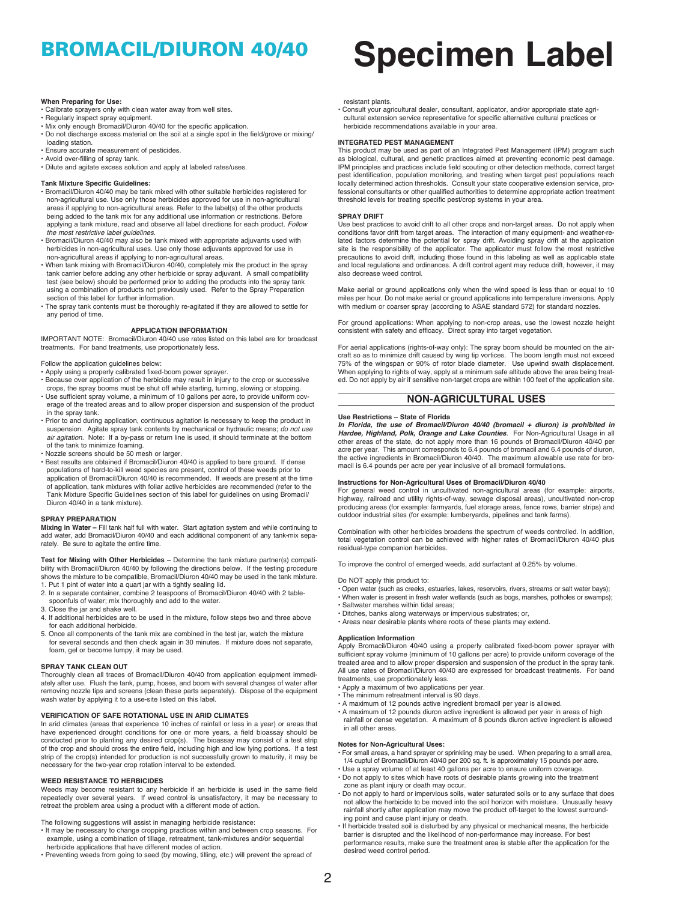#### **When Preparing for Use:**

• Calibrate sprayers only with clean water away from well sites.

- Regularly inspect spray equipment.
- Mix only enough Bromacil/Diuron 40/40 for the specific application.
- Do not discharge excess material on the soil at a single spot in the field/grove or mixing/ loading station.
- Ensure accurate measurement of pesticides.
- Avoid over-filling of spray tank.

• Dilute and agitate excess solution and apply at labeled rates/uses.

#### **Tank Mixture Specific Guidelines:**

- Bromacil/Diuron 40/40 may be tank mixed with other suitable herbicides registered for non-agricultural use. Use only those herbicides approved for use in non-agricultural areas if applying to non-agricultural areas. Refer to the label(s) of the other products being added to the tank mix for any additional use information or restrictions. Before applying a tank mixture, read and observe all label directions for each product. *Follow the most restrictive label guidelines.*
- Bromacil/Diuron 40/40 may also be tank mixed with appropriate adjuvants used with herbicides in non-agricultural uses. Use only those adjuvants approved for use in non-agricultural areas if applying to non-agricultural areas.
- When tank mixing with Bromacil/Diuron 40/40, completely mix the product in the spray tank carrier before adding any other herbicide or spray adjuvant. A small compatibility test (see below) should be performed prior to adding the products into the spray tank using a combination of products not previously used. Refer to the Spray Preparation section of this label for further information.
- The spray tank contents must be thoroughly re-agitated if they are allowed to settle for any period of time.

#### **APPLICATION INFORMATION**

IMPORTANT NOTE: Bromacil/Diuron 40/40 use rates listed on this label are for broadcast treatments. For band treatments, use proportionately less.

Follow the application guidelines below:

- Apply using a properly calibrated fixed-boom power sprayer.
- Because over application of the herbicide may result in injury to the crop or successive<br>Crops, the spray booms must be shut off while starting, turning, slowing or stopping.<br>• Use sufficient spray volume, a minimum of 1
- erage of the treated areas and to allow proper dispersion and suspension of the product in the spray tank.
- Prior to and during application, continuous agitation is necessary to keep the product in suspension. Agitate spray tank contents by mechanical or hydraulic means; *do not use air agitation*. Note: If a by-pass or return line is used, it should terminate at the bottom of the tank to minimize foaming.
- Nozzle screens should be 50 mesh or larger.
- Best results are obtained if Bromacil/Diuron 40/40 is applied to bare ground. If dense populations of hard-to-kill weed species are present, control of these weeds prior to application of Bromacil/Diuron 40/40 is recommended. If weeds are present at the time of application, tank mixtures with foliar active herbicides are recommended (refer to the Tank Mixture Specific Guidelines section of this label for guidelines on using Bromacil/ Diuron 40/40 in a tank mixture).

#### **SPRAY PREPARATION**

**Mixing in Water –** Fill tank half full with water. Start agitation system and while continuing to add water, add Bromacil/Diuron 40/40 and each additional component of any tank-mix separately. Be sure to agitate the entire time.

**Test for Mixing with Other Herbicides –** Determine the tank mixture partner(s) compatibility with Bromacil/Diuron 40/40 by following the directions below. If the testing procedure shows the mixture to be compatible, Bromacil/Diuron 40/40 may be used in the tank mixture. 1. Put 1 pint of water into a quart jar with a tightly sealing lid.

- 2. In a separate container, combine 2 teaspoons of Bromacil/Diuron 40/40 with 2 table-spoonfuls of water; mix thoroughly and add to the water.
- 
- 3. Close the jar and shake well.
- 4. If additional herbicides are to be used in the mixture, follow steps two and three above for each additional herbicide.
- 5. Once all components of the tank mix are combined in the test jar, watch the mixture for several seconds and then check again in 30 minutes. If mixture does not separate, foam, gel or become lumpy, it may be used.

#### **SPRAY TANK CLEAN OUT**

Thoroughly clean all traces of Bromacil/Diuron 40/40 from application equipment immediately after use. Flush the tank, pump, hoses, and boom with several changes of water after removing nozzle tips and screens (clean these parts separately). Dispose of the equipment wash water by applying it to a use-site listed on this label.

#### **VERIFICATION OF SAFE ROTATIONAL USE IN ARID CLIMATES**

In arid climates (areas that experience 10 inches of rainfall or less in a year) or areas that have experienced drought conditions for one or more years, a field bioassay should be conducted prior to planting any desired crop(s). The bioassay may consist of a test strip of the crop and should cross the entire field, including high and low lying portions. If a test strip of the crop(s) intended for production is not successfully grown to maturity, it may be necessary for the two-year crop rotation interval to be extended.

#### **WEED RESISTANCE TO HERBICIDES**

Weeds may become resistant to any herbicide if an herbicide is used in the same field repeatedly over several years. If weed control is unsatisfactory, it may be necessary to retreat the problem area using a product with a different mode of action.

The following suggestions will assist in managing herbicide resistance:

- It may be necessary to change cropping practices within and between crop seasons. For<br>example, using a combination of tillage, retreatment, tank-mixtures and/or sequential<br>herbicide applications that have different modes
- Preventing weeds from going to seed (by mowing, tilling, etc.) will prevent the spread of

# BROMACIL/DIURON 40/40 **Specimen Label**

#### resistant plants.

• Consult your agricultural dealer, consultant, applicator, and/or appropriate state agricultural extension service representative for specific alternative cultural practices or herbicide recommendations available in your area.

#### **INTEGRATED PEST MANAGEMENT**

This product may be used as part of an Integrated Pest Management (IPM) program such as biological, cultural, and genetic practices aimed at preventing economic pest damage. IPM principles and practices include field scouting or other detection methods, correct target<br>pest identification, population monitoring, and treating when target pest populations reach<br>locally determined action threshold fessional consultants or other qualified authorities to determine appropriate action treatr threshold levels for treating specific pest/crop systems in your area.

#### **SPRAY DRIFT**

Use best practices to avoid drift to all other crops and non-target areas. Do not apply when conditions favor drift from target areas. The interaction of many equipment- and weather-related factors determine the potential for spray drift. Avoiding spray drift at the application site is the responsibility of the applicator. The applicator must follow the most restrictive precautions to avoid drift, including those found in this labeling as well as applicable state and local regulations and ordinances. A drift control agent may reduce drift, however, it may also decrease weed control.

Make aerial or ground applications only when the wind speed is less than or equal to 10 miles per hour. Do not make aerial or ground applications into temperature inversions. Apply with medium or coarser spray (according to ASAE standard 572) for standard nozzles.

For ground applications: When applying to non-crop areas, use the lowest nozzle height consistent with safety and efficacy. Direct spray into target vegetation.

For aerial applications (rights-of-way only): The spray boom should be mounted on the air-<br>craft so as to minimize drift caused by wing tip vortices. The boom length must not exceed<br>75% of the wingspan or 90% of rotor blad When applying to rights of way, apply at a minimum safe altitude above the area being treated. Do not apply by air if sensitive non-target crops are within 100 feet of the application site.

#### **NON-AGRICULTURAL USES**

#### **Use Restrictions – State of Florida**

*In Florida, the use of Bromacil/Diuron 40/40 (bromacil + diuron) is prohibited in Hardee, Highland, Polk, Orange and Lake Counties*. For Non-Agricultural Usage in all other areas of the state, do not apply more than 16 pounds of Bromacil/Diuron 40/40 per acre per year. This amount corresponds to 6.4 pounds of bromacil and 6.4 pounds of diuron,<br>the active ingredients in Bromacil/Diuron 40/40. The maximum allowable use rate for bromacil is 6.4 pounds per acre per year inclusive of all bromacil formulations.

#### **Instructions for Non-Agricultural Uses of Bromacil/Diuron 40/40**

For general weed control in uncultivated non-agricultural areas (for example: airports, highway, railroad and utility rights-of-way, sewage disposal areas), uncultivated non-crop producing areas (for example: farmyards, fuel storage areas, fence rows, barrier strips) and outdoor industrial sites (for example: lumberyards, pipelines and tank farms).

Combination with other herbicides broadens the spectrum of weeds controlled. In addition, total vegetation control can be achieved with higher rates of Bromacil/Diuron 40/40 plus residual-type companion herbicides.

To improve the control of emerged weeds, add surfactant at 0.25% by volume.

#### Do NOT apply this product to:

- Open water (such as creeks, estuaries, lakes, reservoirs, rivers, streams or salt water bays); • When water is present in fresh water wetlands (such as bogs, marshes, potholes or swamps);
- Saltwater marshes within tidal areas;
- Ditches, banks along waterways or impervious substrates; or,
- Areas near desirable plants where roots of these plants may extend.

#### **Application Information**

Apply Bromacil/Diuron 40/40 using a properly calibrated fixed-boom power sprayer with sufficient spray volume (minimum of 10 gallons per acre) to provide uniform coverage of the treated area and to allow proper dispersion and suspension of the product in the spray tank. All use rates of Bromacil/Diuron 40/40 are expressed for broadcast treatments. For band treatments, use proportionately less.

- Apply a maximum of two applications per year.
- 
- The minimum retreatment interval is 90 days. A maximum of 12 pounds active ingredient bromacil per year is allowed.
- A maximum of 12 pounds diuron active ingredient is allowed per year in areas of high rainfall or dense vegetation. A maximum of 8 pounds diuron active ingredient is allowed in all other areas.

#### **Notes for Non-Agricultural Uses:**

- For small areas, a hand sprayer or sprinkling may be used. When preparing to a small area, 1/4 cupful of Bromacil/Diuron 40/40 per 200 sq. ft. is approximately 15 pounds per acre.
- Use a spray volume of at least 40 gallons per acre to ensure uniform coverage. • Do not apply to sites which have roots of desirable plants growing into the treatment
- zone as plant injury or death may occur.
- Do not apply to hard or impervious soils, water saturated soils or to any surface that does not allow the herbicide to be moved into the soil horizon with moisture. Unusually heavy rainfall shortly after application may move the product off-target to the lowest surround-
- ing point and cause plant injury or death. If herbicide treated soil is disturbed by any physical or mechanical means, the herbicide barrier is disrupted and the likelihood of non-performance may increase. For best performance results, make sure the treatment area is stable after the application for the desired weed control period.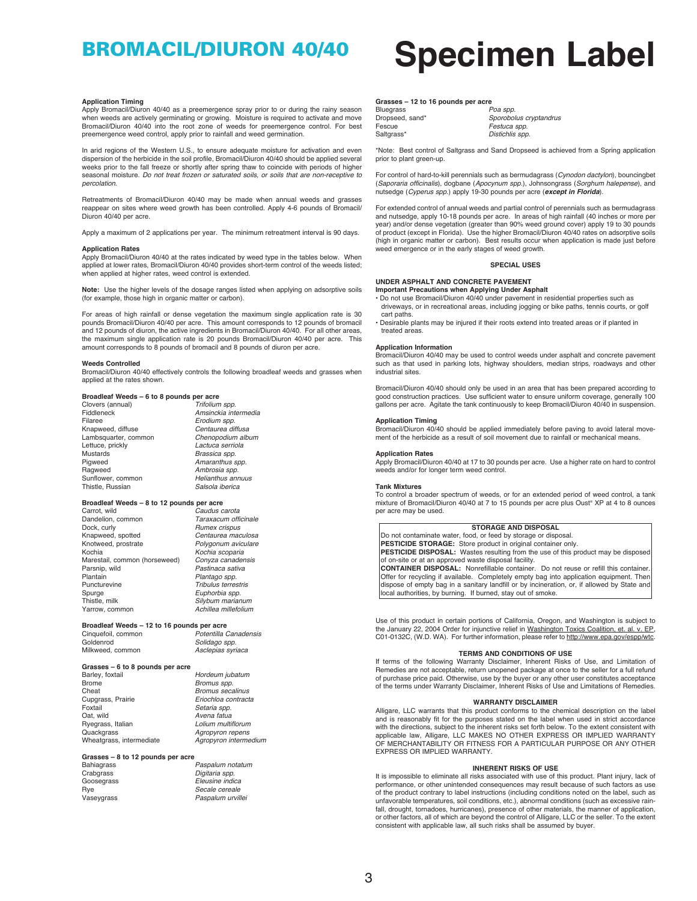# BROMACIL/DIURON 40/40 **Specimen Label**

#### **Application Timing**

Apply Bromacil/Diuron 40/40 as a preemergence spray prior to or during the rainy season when weeds are actively germinating or growing. Moisture is required to activate and move Bromacil/Diuron 40/40 into the root zone of weeds for preemergence control. For best preemergence weed control, apply prior to rainfall and weed germination.

In arid regions of the Western U.S., to ensure adequate moisture for activation and even dispersion of the herbicide in the soil profile, Bromacil/Diuron 40/40 should be applied several weeks prior to the fall freeze or shortly after spring thaw to coincide with periods of higher seasonal moisture. *Do not treat frozen or saturated soils, or soils that are non-receptive to percolation*.

Retreatments of Bromacil/Diuron 40/40 may be made when annual weeds and grasses reappear on sites where weed growth has been controlled. Apply 4-6 pounds of Bromacil/ Diuron 40/40 per acre.

Apply a maximum of 2 applications per year. The minimum retreatment interval is 90 days.

#### **Application Rates**

Apply Bromacil/Diuron 40/40 at the rates indicated by weed type in the tables below. When applied at lower rates, Bromacil/Diuron 40/40 provides short-term control of the weeds listed; when applied at higher rates, weed control is extended.

**Note:** Use the higher levels of the dosage ranges listed when applying on adsorptive soils (for example, those high in organic matter or carbon).

For areas of high rainfall or dense vegetation the maximum single application rate is 30 pounds Bromacil/Diuron 40/40 per acre. This amount corresponds to 12 pounds of bromacil and 12 pounds of diuron, the active ingredients in Bromacil/Diuron 40/40. For all other areas, the maximum single application rate is 20 pounds Bromacil/Diuron 40/40 per acre. This amount corresponds to 8 pounds of bromacil and 8 pounds of diuron per acre.

#### **Weeds Controlled**

Bromacil/Diuron 40/40 effectively controls the following broadleaf weeds and grasses when applied at the rates shown.

#### **Broadleaf Weeds – 6 to 8 pounds per acre -**<br>Trifolium spp.

| (annual) lovers        | HITOIIUM SPP.        |
|------------------------|----------------------|
| iddleneck <sup>:</sup> | Amsinckia intermedia |
| Filaree                | Erodium spp.         |
| (napweed, diffuse      | Centaurea diffusa    |
| ambsquarter, common    | Chenopodium album    |
| ettuce, prickly        | Lactuca serriola     |
| <b>Austards</b>        | Brassica spp.        |
| <sup>2</sup> igweed    | Amaranthus spp.      |
| Ragweed                | Ambrosia spp.        |
| Sunflower, common      | Helianthus annuus    |
| Thistle, Russian       | Salsola iberica      |

#### **Broadleaf Weeds – 8 to 12 pounds per acre**

| Carrot, wild                  | Caudus carota        |
|-------------------------------|----------------------|
| Dandelion, common             | Taraxacum officinale |
| Dock, curly                   | Rumex crispus        |
| Knapweed, spotted             | Centaurea maculosa   |
| Knotweed, prostrate           | Polygonum aviculare  |
| Kochia                        | Kochia scoparia      |
| Marestail, common (horseweed) | Conyza canadensis    |
| Parsnip, wild                 | Pastinaca sativa     |
| Plantain                      | Plantago spp.        |
| Puncturevine                  | Tribulus terrestris  |
| Spurge                        | Euphorbia spp.       |
| Thistle, milk                 | Silybum marianum     |
| Yarrow, common                | Achillea millefolium |
|                               |                      |

## **Broadleaf Weeds – 12 to 16 pounds per acre**

Cinquefoil, common *Potentilla Canadensis* Milkweed, common

Solidago spp.<br>Asclepias svriaca

#### **Grasses – 6 to 8 pounds per acre**

| Barley, toxtail          |
|--------------------------|
| Brome                    |
| Cheat                    |
| Cupgrass, Prairie        |
| Foxtail                  |
| Oat, wild                |
| Ryegrass, Italian        |
| Quackgrass               |
| Wheatgrass, intermediate |
|                          |

Barley, foxtail *Hordeum jubatum* Bromus spp. Bromus secalinus Eriochloa contracta Foxtail *Setaria spp.* Avena fatua Ryegrass, Italian *Lolium multiflorum* Agropyron repens

Wheatgrass, intermediate *Agropyron intermedium*

#### **Grasses – 8 to 12 pounds per acre**

| <b>Bahiagrass</b> | Paspalum notatu   |
|-------------------|-------------------|
| Crabgrass         | Digitaria spp.    |
| Goosegrass        | Eleusine indica   |
| Rve               | Secale cereale    |
| Vaseygrass        | Paspalum urvillei |

**Paspalum notatum** Digitaria spp. Eleusine *indica* Secale cereale

### **Grasses – 12 to 16 pounds per acre**

| Bluegrass       | Poa spp.               |
|-----------------|------------------------|
| Dropseed, sand* | Sporobolus cryptandrus |
| Fescue          | Festuca spp.           |
| Saltgrass*      | Distichlis spp.        |
|                 |                        |

\*Note: Best control of Saltgrass and Sand Dropseed is achieved from a Spring application prior to plant green-up.

For control of hard-to-kill perennials such as bermudagrass (*Cynodon dactylon*), bouncingbet (*Saporaria officinalis*), dogbane (*Apocynum spp.*), Johnsongrass (*Sorghum halepense*), and nutsedge (*Cyperus spp.*) apply 19-30 pounds per acre (*except in Florida*).

For extended control of annual weeds and partial control of perennials such as bermudagrass and nutsedge, apply 10-18 pounds per acre. In areas of high rainfall (40 inches or more per year) and/or dense vegetation (greater than 90% weed ground cover) apply 19 to 30 pounds of product (except in Florida). Use the higher Bromacil/Diuron 40/40 rates on adsorptive soils (high in organic matter or carbon). Best results occur when application is made just before weed emergence or in the early stages of weed growth.

#### **SPECIAL USES**

#### **UNDER ASPHALT AND CONCRETE PAVEMENT**

**Important Precautions when Applying Under Asphalt** • Do not use Bromacil/Diuron 40/40 under pavement in residential properties such as driveways, or in recreational areas, including jogging or bike paths, tennis courts, or golf cart paths.

• Desirable plants may be injured if their roots extend into treated areas or if planted in treated areas.

#### **Application Information**

Bromacil/Diuron 40/40 may be used to control weeds under asphalt and concrete pavement such as that used in parking lots, highway shoulders, median strips, roadways and other industrial site

Bromacil/Diuron 40/40 should only be used in an area that has been prepared according to good construction practices. Use sufficient water to ensure uniform coverage, generally 100 gallons per acre. Agitate the tank continuously to keep Bromacil/Diuron 40/40 in suspension.

#### **Application Timing**

Bromacil/Diuron 40/40 should be applied immediately before paving to avoid lateral movement of the herbicide as a result of soil movement due to rainfall or mechanical means.

#### **Application Rates**

Apply Bromacil/Diuron 40/40 at 17 to 30 pounds per acre. Use a higher rate on hard to control weeds and/or for longer term weed control.

#### **Tank Mixtures**

To control a broader spectrum of weeds, or for an extended period of weed control, a tank mixture of Bromacil/Diuron 40/40 at 7 to 15 pounds per acre plus Oust<sup>®</sup> XP at 4 to 8 ounces per acre may be used.

#### **STORAGE AND DISPOSAL**

Do not contaminate water, food, or feed by storage or disposal. **PESTICIDE STORAGE:** Store product in original container only.

**PESTICIDE DISPOSAL:** Wastes resulting from the use of this product may be disposed of on-site or at an approved waste disposal facility.

**CONTAINER DISPOSAL:** Nonrefillable container. Do not reuse or refill this container. Offer for recycling if available. Completely empty bag into application equipment. Then dispose of empty bag in a sanitary landfill or by incineration, or, if allowed by State and local authorities, by burning. If burned, stay out of smoke.

Use of this product in certain portions of California, Oregon, and Washington is subject to the January 22, 2004 Order for injunctive relief in Washington Toxics Coalition, et. al. v. EP, C01-0132C, (W.D. WA). For further information, please refer to http://www.epa.gov/espp/wtc.

#### **TERMS AND CONDITIONS OF USE**

If terms of the following Warranty Disclaimer, Inherent Risks of Use, and Limitation of Remedies are not acceptable, return unopened package at once to the seller for a full refund of purchase price paid. Otherwise, use by the buyer or any other user constitutes acceptance of the terms under Warranty Disclaimer, Inherent Risks of Use and Limitations of Remedies.

#### **WARRANTY DISCLAIMER**

Alligare, LLC warrants that this product conforms to the chemical description on the label and is reasonably fit for the purposes stated on the label when used in strict accordance with the directions, subject to the inherent risks set forth below. To the extent consistent with applicable law, Alligare, LLC MAKES NO OTHER EXPRESS OR IMPLIED WARRANTY OF MERCHANTABILITY OR FITNESS FOR A PARTICULAR PURPOSE OR ANY OTHER EXPRESS OR IMPLIED WARRANTY.

#### **INHERENT RISKS OF USE**

It is impossible to eliminate all risks associated with use of this product. Plant injury, lack of performance, or other unintended consequences may result because of such factors as use of the product contrary to label instructions (including conditions noted on the label, such as unfavorable temperatures, soil conditions, etc.), abnormal conditions (such as excessive rainfall, drought, tornadoes, hurricanes), presence of other materials, the manner of application, or other factors, all of which are beyond the control of Alligare, LLC or the seller. To the extent consistent with applicable law, all such risks shall be assumed by buyer.